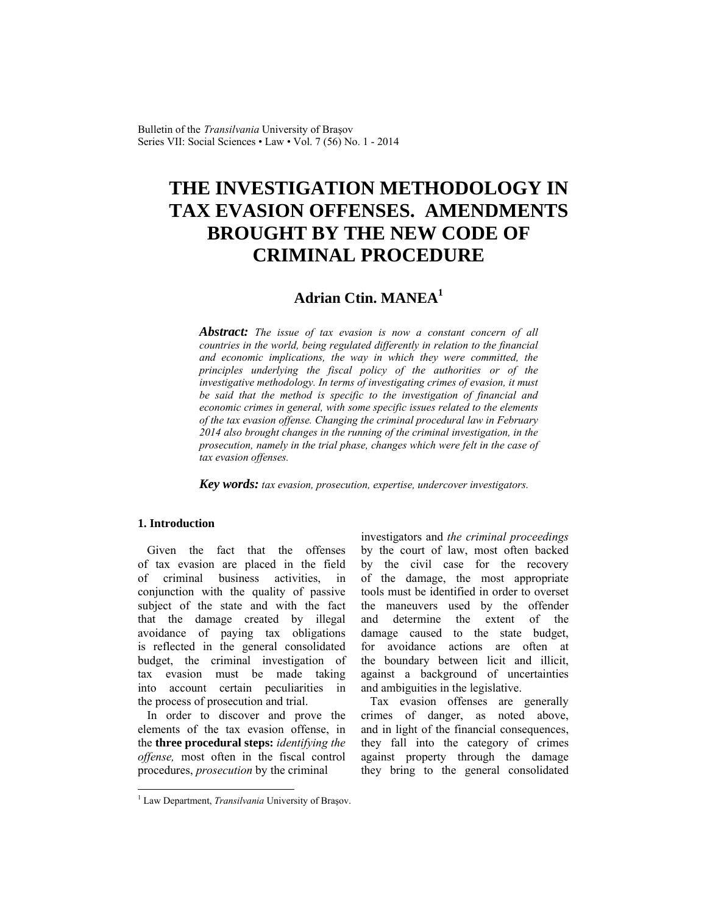Bulletin of the *Transilvania* University of Braşov Series VII: Social Sciences • Law • Vol. 7 (56) No. 1 - 2014

# **THE INVESTIGATION METHODOLOGY IN TAX EVASION OFFENSES. AMENDMENTS BROUGHT BY THE NEW CODE OF CRIMINAL PROCEDURE**

# **Adrian Ctin. MANEA<sup>1</sup>**

*Abstract: The issue of tax evasion is now a constant concern of all countries in the world, being regulated differently in relation to the financial and economic implications, the way in which they were committed, the principles underlying the fiscal policy of the authorities or of the investigative methodology. In terms of investigating crimes of evasion, it must be said that the method is specific to the investigation of financial and economic crimes in general, with some specific issues related to the elements of the tax evasion offense. Changing the criminal procedural law in February 2014 also brought changes in the running of the criminal investigation, in the prosecution, namely in the trial phase, changes which were felt in the case of tax evasion offenses.*

*Key words: tax evasion, prosecution, expertise, undercover investigators.*

### **1. Introduction**

 $\overline{\phantom{a}}$ 

Given the fact that the offenses of tax evasion are placed in the field of criminal business activities, in conjunction with the quality of passive subject of the state and with the fact that the damage created by illegal avoidance of paying tax obligations is reflected in the general consolidated budget, the criminal investigation of tax evasion must be made taking into account certain peculiarities in the process of prosecution and trial.

In order to discover and prove the elements of the tax evasion offense, in the **three procedural steps:** *identifying the offense,* most often in the fiscal control procedures, *prosecution* by the criminal

investigators and *the criminal proceedings* by the court of law, most often backed by the civil case for the recovery of the damage, the most appropriate tools must be identified in order to overset the maneuvers used by the offender and determine the extent of the damage caused to the state budget, for avoidance actions are often at the boundary between licit and illicit, against a background of uncertainties and ambiguities in the legislative.

Tax evasion offenses are generally crimes of danger, as noted above, and in light of the financial consequences, they fall into the category of crimes against property through the damage they bring to the general consolidated

<sup>&</sup>lt;sup>1</sup> Law Department, *Transilvania* University of Braşov.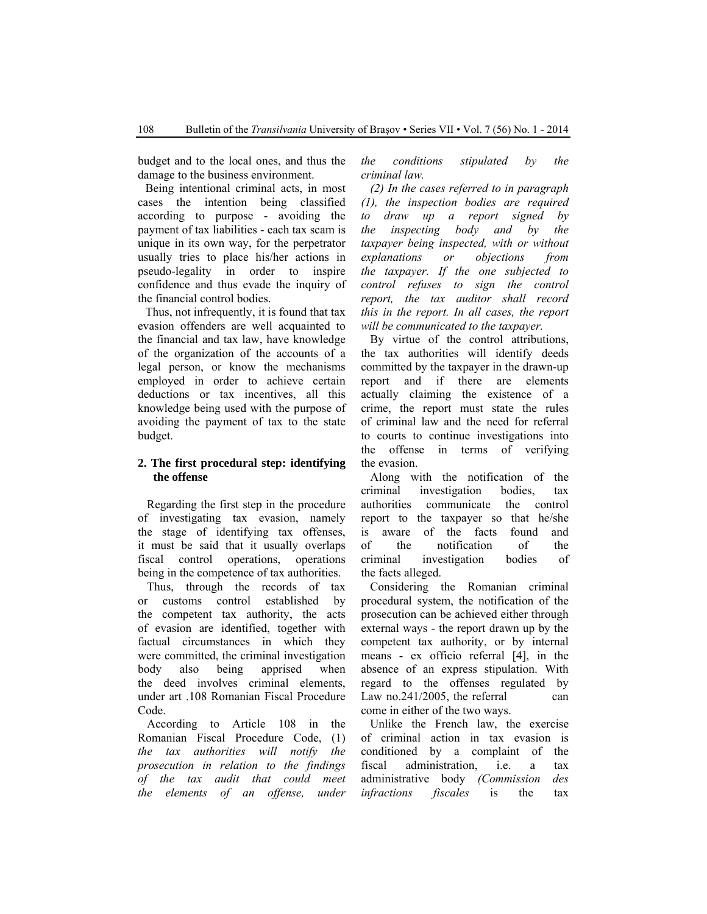budget and to the local ones, and thus the damage to the business environment.

Being intentional criminal acts, in most cases the intention being classified according to purpose - avoiding the payment of tax liabilities - each tax scam is unique in its own way, for the perpetrator usually tries to place his/her actions in pseudo-legality in order to inspire confidence and thus evade the inquiry of the financial control bodies.

Thus, not infrequently, it is found that tax evasion offenders are well acquainted to the financial and tax law, have knowledge of the organization of the accounts of a legal person, or know the mechanisms employed in order to achieve certain deductions or tax incentives, all this knowledge being used with the purpose of avoiding the payment of tax to the state budget.

### **2. The first procedural step: identifying the offense**

Regarding the first step in the procedure of investigating tax evasion, namely the stage of identifying tax offenses, it must be said that it usually overlaps fiscal control operations, operations being in the competence of tax authorities.

Thus, through the records of tax or customs control established by the competent tax authority, the acts of evasion are identified, together with factual circumstances in which they were committed, the criminal investigation body also being apprised when the deed involves criminal elements, under art .108 Romanian Fiscal Procedure Code.

According to Article 108 in the Romanian Fiscal Procedure Code, (1) *the tax authorities will notify the prosecution in relation to the findings of the tax audit that could meet the elements of an offense, under*  *the conditions stipulated by the criminal law.*

*(2) In the cases referred to in paragraph (1), the inspection bodies are required to draw up a report signed by the inspecting body and by the taxpayer being inspected, with or without explanations or objections from the taxpayer. If the one subjected to control refuses to sign the control report, the tax auditor shall record this in the report. In all cases, the report will be communicated to the taxpayer.*

By virtue of the control attributions, the tax authorities will identify deeds committed by the taxpayer in the drawn-up report and if there are elements actually claiming the existence of a crime, the report must state the rules of criminal law and the need for referral to courts to continue investigations into the offense in terms of verifying the evasion.

Along with the notification of the criminal investigation bodies, tax authorities communicate the control report to the taxpayer so that he/she is aware of the facts found and of the notification of the criminal investigation bodies of the facts alleged.

Considering the Romanian criminal procedural system, the notification of the prosecution can be achieved either through external ways - the report drawn up by the competent tax authority, or by internal means - ex officio referral [4], in the absence of an express stipulation. With regard to the offenses regulated by Law no.241/2005, the referral can come in either of the two ways.

Unlike the French law, the exercise of criminal action in tax evasion is conditioned by a complaint of the fiscal administration, i.e. a tax administrative body *(Commission des infractions fiscales* is the tax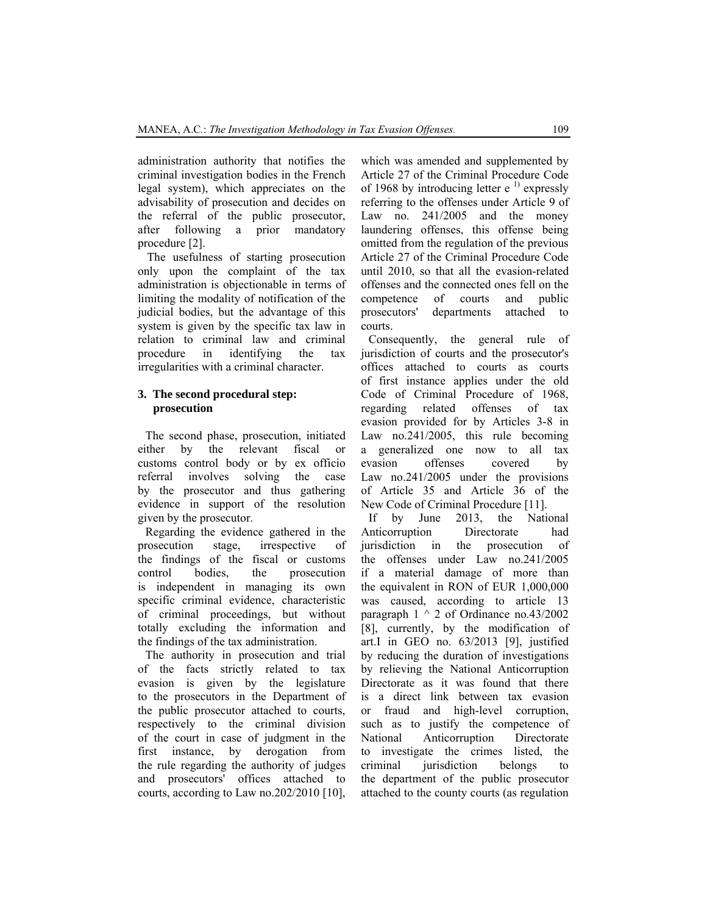administration authority that notifies the criminal investigation bodies in the French legal system), which appreciates on the advisability of prosecution and decides on the referral of the public prosecutor, after following a prior mandatory procedure [2].

The usefulness of starting prosecution only upon the complaint of the tax administration is objectionable in terms of limiting the modality of notification of the judicial bodies, but the advantage of this system is given by the specific tax law in relation to criminal law and criminal procedure in identifying the tax irregularities with a criminal character.

#### **3. The second procedural step: prosecution**

The second phase, prosecution, initiated either by the relevant fiscal or customs control body or by ex officio referral involves solving the case by the prosecutor and thus gathering evidence in support of the resolution given by the prosecutor.

Regarding the evidence gathered in the prosecution stage, irrespective of the findings of the fiscal or customs control bodies, the prosecution is independent in managing its own specific criminal evidence, characteristic of criminal proceedings, but without totally excluding the information and the findings of the tax administration.

The authority in prosecution and trial of the facts strictly related to tax evasion is given by the legislature to the prosecutors in the Department of the public prosecutor attached to courts, respectively to the criminal division of the court in case of judgment in the first instance, by derogation from the rule regarding the authority of judges and prosecutors' offices attached to courts, according to Law no.202/2010 [10], which was amended and supplemented by Article 27 of the Criminal Procedure Code of 1968 by introducing letter  $e^{-1}$  expressly referring to the offenses under Article 9 of Law no. 241/2005 and the money laundering offenses, this offense being omitted from the regulation of the previous Article 27 of the Criminal Procedure Code until 2010, so that all the evasion-related offenses and the connected ones fell on the competence of courts and public prosecutors' departments attached to courts.

Consequently, the general rule of jurisdiction of courts and the prosecutor's offices attached to courts as courts of first instance applies under the old Code of Criminal Procedure of 1968, regarding related offenses of tax evasion provided for by Articles 3-8 in Law no.241/2005, this rule becoming a generalized one now to all tax evasion offenses covered by Law no.241/2005 under the provisions of Article 35 and Article 36 of the New Code of Criminal Procedure [11].

If by June 2013, the National Anticorruption Directorate had jurisdiction in the prosecution of the offenses under Law no.241/2005 if a material damage of more than the equivalent in RON of EUR 1,000,000 was caused, according to article 13 paragraph  $1 \wedge 2$  of Ordinance no.43/2002 [8], currently, by the modification of art.I in GEO no. 63/2013 [9], justified by reducing the duration of investigations by relieving the National Anticorruption Directorate as it was found that there is a direct link between tax evasion or fraud and high-level corruption, such as to justify the competence of National Anticorruption Directorate to investigate the crimes listed, the criminal jurisdiction belongs to the department of the public prosecutor attached to the county courts (as regulation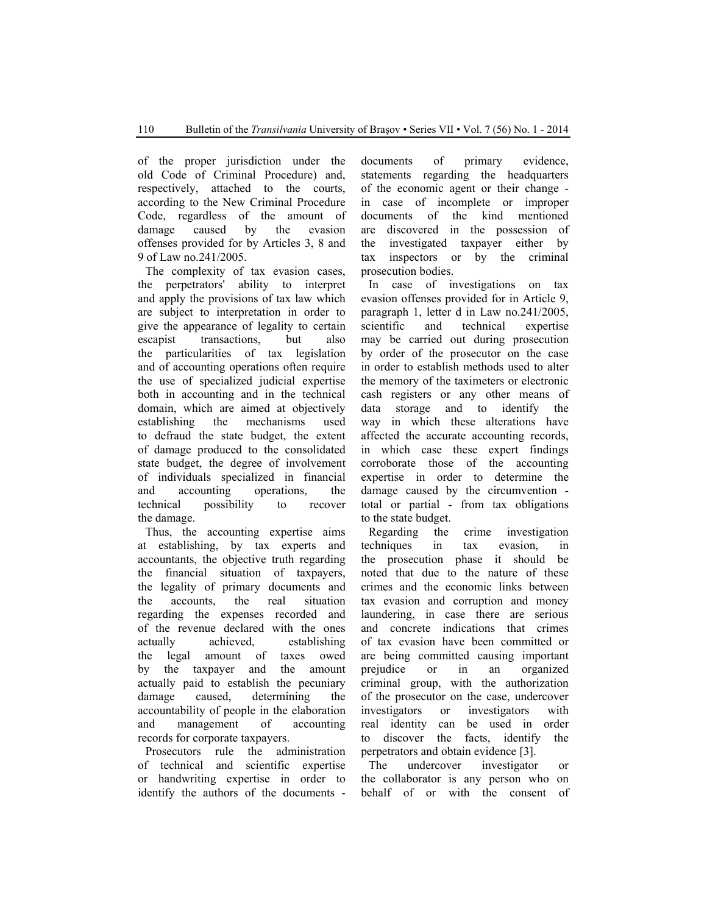of the proper jurisdiction under the old Code of Criminal Procedure) and, respectively, attached to the courts, according to the New Criminal Procedure Code, regardless of the amount of damage caused by the evasion offenses provided for by Articles 3, 8 and 9 of Law no.241/2005.

The complexity of tax evasion cases, the perpetrators' ability to interpret and apply the provisions of tax law which are subject to interpretation in order to give the appearance of legality to certain escapist transactions, but also the particularities of tax legislation and of accounting operations often require the use of specialized judicial expertise both in accounting and in the technical domain, which are aimed at objectively establishing the mechanisms used to defraud the state budget, the extent of damage produced to the consolidated state budget, the degree of involvement of individuals specialized in financial and accounting operations, the technical possibility to recover the damage.

Thus, the accounting expertise aims at establishing, by tax experts and accountants, the objective truth regarding the financial situation of taxpayers, the legality of primary documents and the accounts, the real situation regarding the expenses recorded and of the revenue declared with the ones actually achieved, establishing the legal amount of taxes owed by the taxpayer and the amount actually paid to establish the pecuniary damage caused, determining the accountability of people in the elaboration and management of accounting records for corporate taxpayers.

Prosecutors rule the administration of technical and scientific expertise or handwriting expertise in order to identify the authors of the documents - documents of primary evidence, statements regarding the headquarters of the economic agent or their change in case of incomplete or improper documents of the kind mentioned are discovered in the possession of the investigated taxpayer either by tax inspectors or by the criminal prosecution bodies.

In case of investigations on tax evasion offenses provided for in Article 9, paragraph 1, letter d in Law no.241/2005, scientific and technical expertise may be carried out during prosecution by order of the prosecutor on the case in order to establish methods used to alter the memory of the taximeters or electronic cash registers or any other means of data storage and to identify the way in which these alterations have affected the accurate accounting records, in which case these expert findings corroborate those of the accounting expertise in order to determine the damage caused by the circumvention total or partial - from tax obligations to the state budget.

Regarding the crime investigation techniques in tax evasion, in the prosecution phase it should be noted that due to the nature of these crimes and the economic links between tax evasion and corruption and money laundering, in case there are serious and concrete indications that crimes of tax evasion have been committed or are being committed causing important prejudice or in an organized criminal group, with the authorization of the prosecutor on the case, undercover investigators or investigators with real identity can be used in order to discover the facts, identify the perpetrators and obtain evidence [3].

The undercover investigator or the collaborator is any person who on behalf of or with the consent of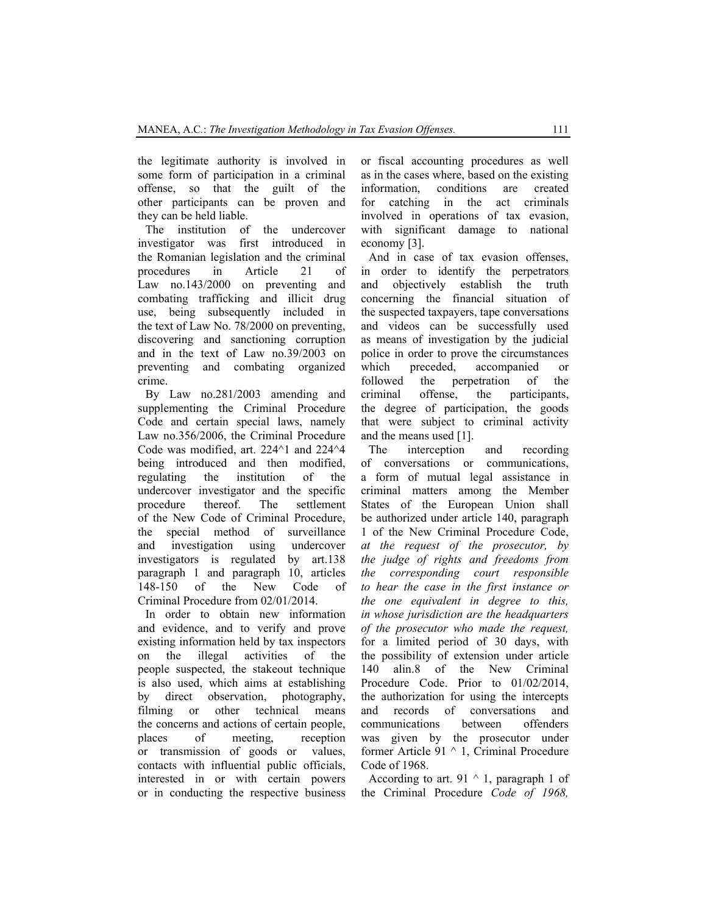the legitimate authority is involved in some form of participation in a criminal offense, so that the guilt of the other participants can be proven and they can be held liable.

The institution of the undercover investigator was first introduced in the Romanian legislation and the criminal procedures in Article 21 of Law no.143/2000 on preventing and combating trafficking and illicit drug use, being subsequently included in the text of Law No. 78/2000 on preventing, discovering and sanctioning corruption and in the text of Law no.39/2003 on preventing and combating organized crime.

By Law no.281/2003 amending and supplementing the Criminal Procedure Code and certain special laws, namely Law no.356/2006, the Criminal Procedure Code was modified, art. 224^1 and 224^4 being introduced and then modified, regulating the institution of the undercover investigator and the specific procedure thereof. The settlement of the New Code of Criminal Procedure, the special method of surveillance and investigation using undercover investigators is regulated by art.138 paragraph 1 and paragraph 10, articles 148-150 of the New Code of Criminal Procedure from 02/01/2014.

In order to obtain new information and evidence, and to verify and prove existing information held by tax inspectors on the illegal activities of the people suspected, the stakeout technique is also used, which aims at establishing by direct observation, photography, filming or other technical means the concerns and actions of certain people, places of meeting, reception or transmission of goods or values, contacts with influential public officials, interested in or with certain powers or in conducting the respective business or fiscal accounting procedures as well as in the cases where, based on the existing information, conditions are created for catching in the act criminals involved in operations of tax evasion, with significant damage to national economy [3].

And in case of tax evasion offenses, in order to identify the perpetrators and objectively establish the truth concerning the financial situation of the suspected taxpayers, tape conversations and videos can be successfully used as means of investigation by the judicial police in order to prove the circumstances which preceded, accompanied or followed the perpetration of the criminal offense, the participants, the degree of participation, the goods that were subject to criminal activity and the means used [1].

The interception and recording of conversations or communications, a form of mutual legal assistance in criminal matters among the Member States of the European Union shall be authorized under article 140, paragraph 1 of the New Criminal Procedure Code, *at the request of the prosecutor, by the judge of rights and freedoms from the corresponding court responsible to hear the case in the first instance or the one equivalent in degree to this, in whose jurisdiction are the headquarters of the prosecutor who made the request,* for a limited period of 30 days, with the possibility of extension under article 140 alin.8 of the New Criminal Procedure Code. Prior to 01/02/2014, the authorization for using the intercepts and records of conversations and communications between offenders was given by the prosecutor under former Article 91 ^ 1, Criminal Procedure Code of 1968.

According to art. 91  $\land$  1, paragraph 1 of the Criminal Procedure *Code of 1968,*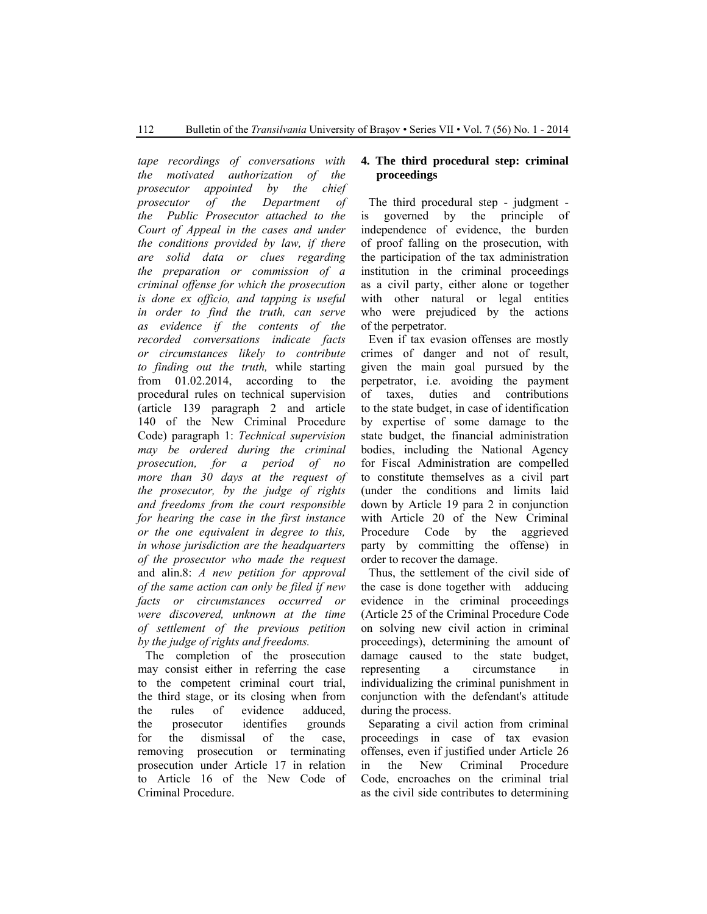*tape recordings of conversations with the motivated authorization of the prosecutor appointed by the chief prosecutor of the Department of the Public Prosecutor attached to the Court of Appeal in the cases and under the conditions provided by law, if there are solid data or clues regarding the preparation or commission of a criminal offense for which the prosecution is done ex officio, and tapping is useful in order to find the truth, can serve as evidence if the contents of the recorded conversations indicate facts or circumstances likely to contribute to finding out the truth,* while starting from 01.02.2014, according to the procedural rules on technical supervision (article 139 paragraph 2 and article 140 of the New Criminal Procedure Code) paragraph 1: *Technical supervision may be ordered during the criminal prosecution, for a period of no more than 30 days at the request of the prosecutor, by the judge of rights and freedoms from the court responsible for hearing the case in the first instance or the one equivalent in degree to this, in whose jurisdiction are the headquarters of the prosecutor who made the request* and alin.8: *A new petition for approval of the same action can only be filed if new facts or circumstances occurred or were discovered, unknown at the time of settlement of the previous petition by the judge of rights and freedoms.*

The completion of the prosecution may consist either in referring the case to the competent criminal court trial, the third stage, or its closing when from the rules of evidence adduced, the prosecutor identifies grounds for the dismissal of the case, removing prosecution or terminating prosecution under Article 17 in relation to Article 16 of the New Code of Criminal Procedure.

## **4. The third procedural step: criminal proceedings**

The third procedural step - judgment is governed by the principle of independence of evidence, the burden of proof falling on the prosecution, with the participation of the tax administration institution in the criminal proceedings as a civil party, either alone or together with other natural or legal entities who were prejudiced by the actions of the perpetrator.

Even if tax evasion offenses are mostly crimes of danger and not of result, given the main goal pursued by the perpetrator, i.e. avoiding the payment of taxes, duties and contributions to the state budget, in case of identification by expertise of some damage to the state budget, the financial administration bodies, including the National Agency for Fiscal Administration are compelled to constitute themselves as a civil part (under the conditions and limits laid down by Article 19 para 2 in conjunction with Article 20 of the New Criminal Procedure Code by the aggrieved party by committing the offense) in order to recover the damage.

Thus, the settlement of the civil side of the case is done together with adducing evidence in the criminal proceedings (Article 25 of the Criminal Procedure Code on solving new civil action in criminal proceedings), determining the amount of damage caused to the state budget, representing a circumstance in individualizing the criminal punishment in conjunction with the defendant's attitude during the process.

Separating a civil action from criminal proceedings in case of tax evasion offenses, even if justified under Article 26 in the New Criminal Procedure Code, encroaches on the criminal trial as the civil side contributes to determining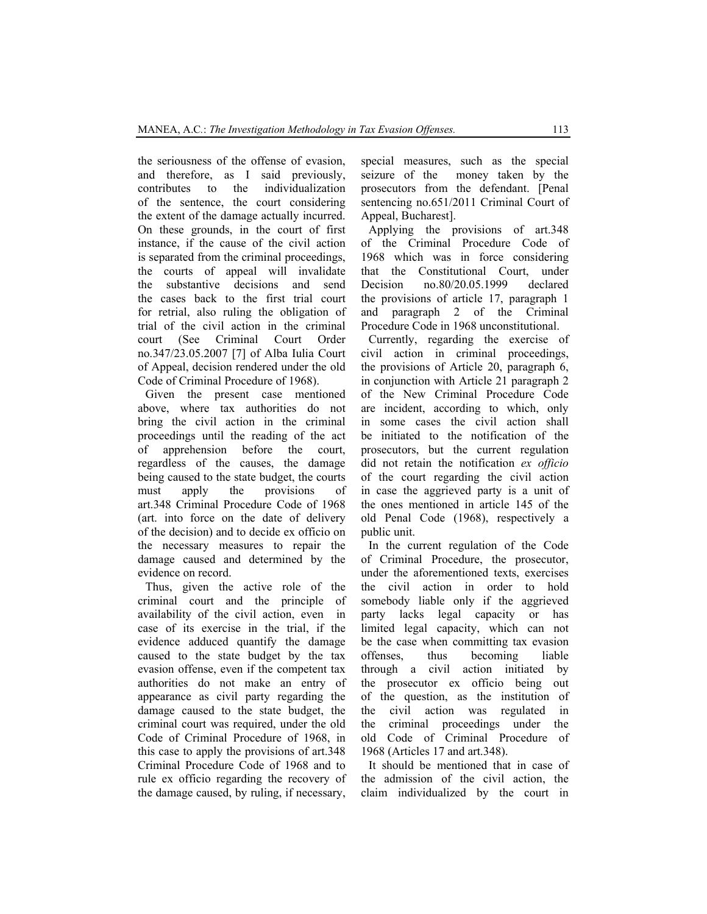the seriousness of the offense of evasion, and therefore, as I said previously, contributes to the individualization of the sentence, the court considering the extent of the damage actually incurred. On these grounds, in the court of first instance, if the cause of the civil action is separated from the criminal proceedings, the courts of appeal will invalidate the substantive decisions and send the cases back to the first trial court for retrial, also ruling the obligation of trial of the civil action in the criminal court (See Criminal Court Order no.347/23.05.2007 [7] of Alba Iulia Court of Appeal, decision rendered under the old Code of Criminal Procedure of 1968).

Given the present case mentioned above, where tax authorities do not bring the civil action in the criminal proceedings until the reading of the act of apprehension before the court, regardless of the causes, the damage being caused to the state budget, the courts must apply the provisions of art.348 Criminal Procedure Code of 1968 (art. into force on the date of delivery of the decision) and to decide ex officio on the necessary measures to repair the damage caused and determined by the evidence on record.

Thus, given the active role of the criminal court and the principle of availability of the civil action, even in case of its exercise in the trial, if the evidence adduced quantify the damage caused to the state budget by the tax evasion offense, even if the competent tax authorities do not make an entry of appearance as civil party regarding the damage caused to the state budget, the criminal court was required, under the old Code of Criminal Procedure of 1968, in this case to apply the provisions of art.348 Criminal Procedure Code of 1968 and to rule ex officio regarding the recovery of the damage caused, by ruling, if necessary,

special measures, such as the special seizure of the money taken by the prosecutors from the defendant. [Penal sentencing no.651/2011 Criminal Court of Appeal, Bucharest].

Applying the provisions of art.348 of the Criminal Procedure Code of 1968 which was in force considering that the Constitutional Court, under Decision no.80/20.05.1999 declared the provisions of article 17, paragraph 1 and paragraph 2 of the Criminal Procedure Code in 1968 unconstitutional.

Currently, regarding the exercise of civil action in criminal proceedings, the provisions of Article 20, paragraph 6, in conjunction with Article 21 paragraph 2 of the New Criminal Procedure Code are incident, according to which, only in some cases the civil action shall be initiated to the notification of the prosecutors, but the current regulation did not retain the notification *ex officio* of the court regarding the civil action in case the aggrieved party is a unit of the ones mentioned in article 145 of the old Penal Code (1968), respectively a public unit.

In the current regulation of the Code of Criminal Procedure, the prosecutor, under the aforementioned texts, exercises the civil action in order to hold somebody liable only if the aggrieved party lacks legal capacity or has limited legal capacity, which can not be the case when committing tax evasion offenses, thus becoming liable through a civil action initiated by the prosecutor ex officio being out of the question, as the institution of the civil action was regulated in the criminal proceedings under the old Code of Criminal Procedure of 1968 (Articles 17 and art.348).

It should be mentioned that in case of the admission of the civil action, the claim individualized by the court in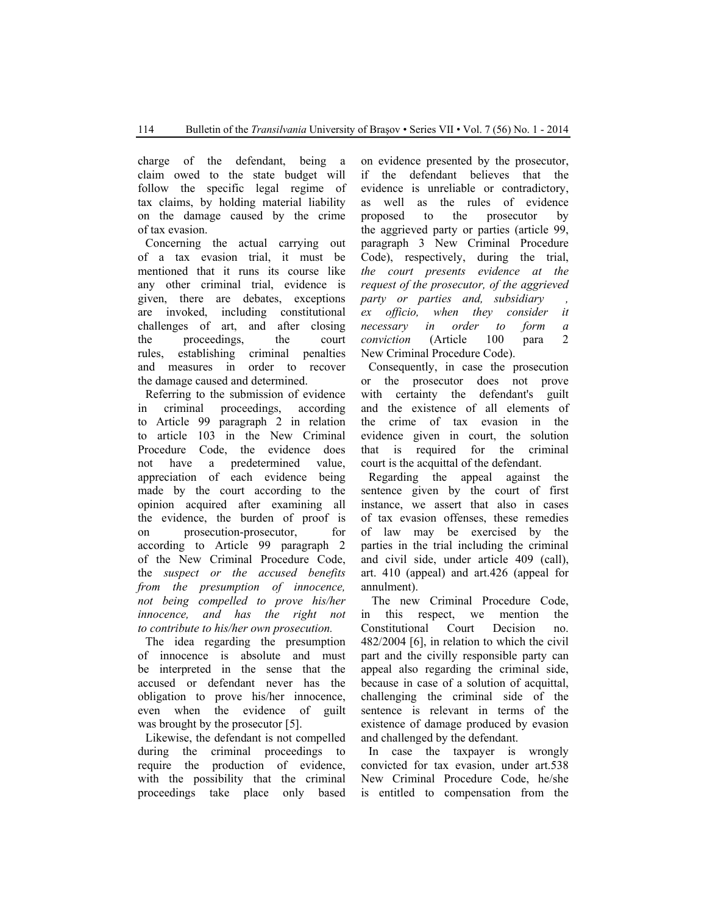charge of the defendant, being a claim owed to the state budget will follow the specific legal regime of tax claims, by holding material liability on the damage caused by the crime of tax evasion.

Concerning the actual carrying out of a tax evasion trial, it must be mentioned that it runs its course like any other criminal trial, evidence is given, there are debates, exceptions are invoked, including constitutional challenges of art, and after closing the proceedings, the court rules, establishing criminal penalties and measures in order to recover the damage caused and determined.

Referring to the submission of evidence in criminal proceedings, according to Article 99 paragraph 2 in relation to article 103 in the New Criminal Procedure Code, the evidence does not have a predetermined value, appreciation of each evidence being made by the court according to the opinion acquired after examining all the evidence, the burden of proof is on prosecution-prosecutor, for according to Article 99 paragraph 2 of the New Criminal Procedure Code, the *suspect or the accused benefits from the presumption of innocence, not being compelled to prove his/her innocence, and has the right not to contribute to his/her own prosecution.*

The idea regarding the presumption of innocence is absolute and must be interpreted in the sense that the accused or defendant never has the obligation to prove his/her innocence, even when the evidence of guilt was brought by the prosecutor [5].

Likewise, the defendant is not compelled during the criminal proceedings to require the production of evidence, with the possibility that the criminal proceedings take place only based on evidence presented by the prosecutor, if the defendant believes that the evidence is unreliable or contradictory, as well as the rules of evidence proposed to the prosecutor by the aggrieved party or parties (article 99, paragraph 3 New Criminal Procedure Code), respectively, during the trial, *the court presents evidence at the request of the prosecutor, of the aggrieved party or parties and, subsidiary ex officio, when they consider it necessary in order to form a conviction* (Article 100 para 2 New Criminal Procedure Code).

Consequently, in case the prosecution or the prosecutor does not prove with certainty the defendant's guilt and the existence of all elements of the crime of tax evasion in the evidence given in court, the solution that is required for the criminal court is the acquittal of the defendant.

Regarding the appeal against the sentence given by the court of first instance, we assert that also in cases of tax evasion offenses, these remedies of law may be exercised by the parties in the trial including the criminal and civil side, under article 409 (call), art. 410 (appeal) and art.426 (appeal for annulment).

 The new Criminal Procedure Code, in this respect, we mention the Constitutional Court Decision no. 482/2004 [6], in relation to which the civil part and the civilly responsible party can appeal also regarding the criminal side, because in case of a solution of acquittal, challenging the criminal side of the sentence is relevant in terms of the existence of damage produced by evasion and challenged by the defendant.

In case the taxpayer is wrongly convicted for tax evasion, under art.538 New Criminal Procedure Code, he/she is entitled to compensation from the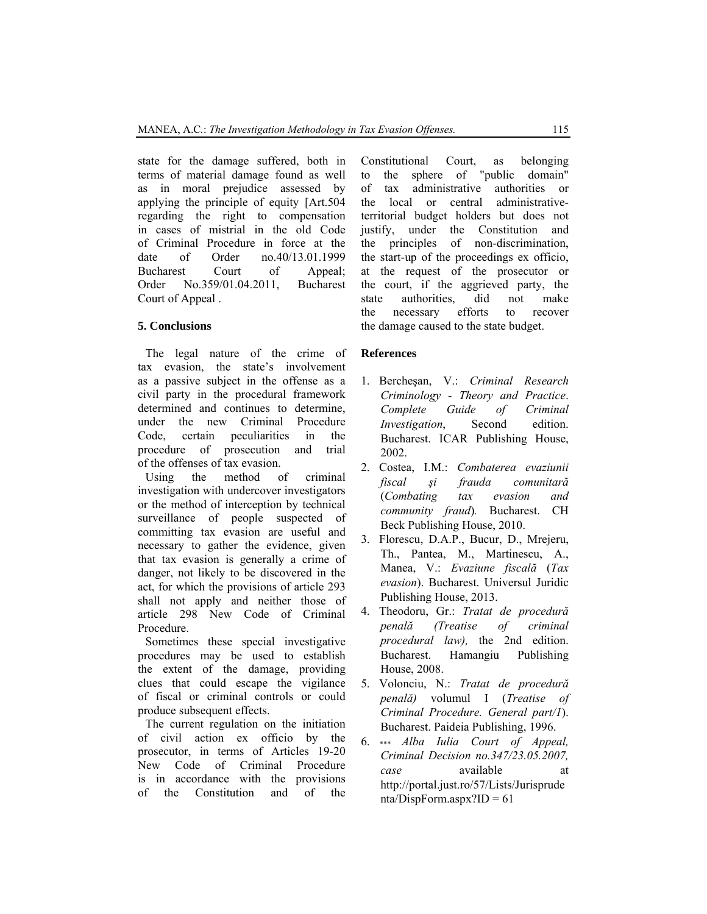state for the damage suffered, both in terms of material damage found as well as in moral prejudice assessed by applying the principle of equity [Art.504 regarding the right to compensation in cases of mistrial in the old Code of Criminal Procedure in force at the date of Order no.40/13.01.1999 Bucharest Court of Appeal; Order No.359/01.04.2011, Bucharest Court of Appeal .

#### **5. Conclusions**

The legal nature of the crime of tax evasion, the state's involvement as a passive subject in the offense as a civil party in the procedural framework determined and continues to determine, under the new Criminal Procedure Code, certain peculiarities in the procedure of prosecution and trial of the offenses of tax evasion.

Using the method of criminal investigation with undercover investigators or the method of interception by technical surveillance of people suspected of committing tax evasion are useful and necessary to gather the evidence, given that tax evasion is generally a crime of danger, not likely to be discovered in the act, for which the provisions of article 293 shall not apply and neither those of article 298 New Code of Criminal Procedure.

Sometimes these special investigative procedures may be used to establish the extent of the damage, providing clues that could escape the vigilance of fiscal or criminal controls or could produce subsequent effects.

The current regulation on the initiation of civil action ex officio by the prosecutor, in terms of Articles 19-20 New Code of Criminal Procedure is in accordance with the provisions of the Constitution and of the

Constitutional Court, as belonging to the sphere of "public domain" of tax administrative authorities or the local or central administrativeterritorial budget holders but does not justify, under the Constitution and the principles of non-discrimination, the start-up of the proceedings ex officio, at the request of the prosecutor or the court, if the aggrieved party, the state authorities, did not make the necessary efforts to recover the damage caused to the state budget.

#### **References**

- 1. Bercheşan, V.: *Criminal Research Criminology - Theory and Practice*. *Complete Guide of Criminal Investigation*, Second edition. Bucharest. ICAR Publishing House, 2002.
- 2. Costea, I.M.: *Combaterea evaziunii fiscal şi frauda comunitară* (*Combating tax evasion and community fraud*)*.* Bucharest. CH Beck Publishing House, 2010.
- 3. Florescu, D.A.P., Bucur, D., Mrejeru, Th., Pantea, M., Martinescu, A., Manea, V.: *Evaziune fiscală* (*Tax evasion*). Bucharest. Universul Juridic Publishing House, 2013.
- 4. Theodoru, Gr.: *Tratat de procedură penală (Treatise of criminal procedural law),* the 2nd edition. Bucharest. Hamangiu Publishing House, 2008.
- 5. Volonciu, N.: *Tratat de procedură penală)* volumul I (*Treatise of Criminal Procedure. General part/1*). Bucharest. Paideia Publishing, 1996.
- 6. \*\*\* *Alba Iulia Court of Appeal, Criminal Decision no.347/23.05.2007, case* available at http://portal.just.ro/57/Lists/Jurisprude nta/DispForm.aspx?ID =  $61$